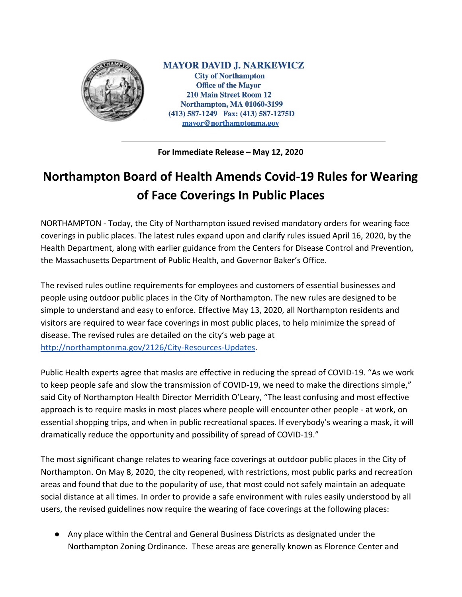

**MAYOR DAVID J. NARKEWICZ City of Northampton Office of the Mayor 210 Main Street Room 12 Northampton, MA 01060-3199** (413) 587-1249 Fax: (413) 587-1275D mayor@northamptonma.gov

**For Immediate Release – May 12, 2020**

## **Northampton Board of Health Amends Covid-19 Rules for Wearing of Face Coverings In Public Places**

NORTHAMPTON - Today, the City of Northampton issued revised mandatory orders for wearing face coverings in public places. The latest rules expand upon and clarify rules issued April 16, 2020, by the Health Department, along with earlier guidance from the Centers for Disease Control and Prevention, the Massachusetts Department of Public Health, and Governor Baker's Office.

The revised rules outline requirements for employees and customers of essential businesses and people using outdoor public places in the City of Northampton. The new rules are designed to be simple to understand and easy to enforce. Effective May 13, 2020, all Northampton residents and visitors are required to wear face coverings in most public places, to help minimize the spread of disease. The revised rules are detailed on the city's web page at <http://northamptonma.gov/2126/City-Resources-Updates>.

Public Health experts agree that masks are effective in reducing the spread of COVID-19. "As we work to keep people safe and slow the transmission of COVID-19, we need to make the directions simple," said City of Northampton Health Director Merridith O'Leary, "The least confusing and most effective approach is to require masks in most places where people will encounter other people - at work, on essential shopping trips, and when in public recreational spaces. If everybody's wearing a mask, it will dramatically reduce the opportunity and possibility of spread of COVID-19."

The most significant change relates to wearing face coverings at outdoor public places in the City of Northampton. On May 8, 2020, the city reopened, with restrictions, most public parks and recreation areas and found that due to the popularity of use, that most could not safely maintain an adequate social distance at all times. In order to provide a safe environment with rules easily understood by all users, the revised guidelines now require the wearing of face coverings at the following places:

● Any place within the Central and General Business Districts as designated under the Northampton Zoning Ordinance. These areas are generally known as Florence Center and